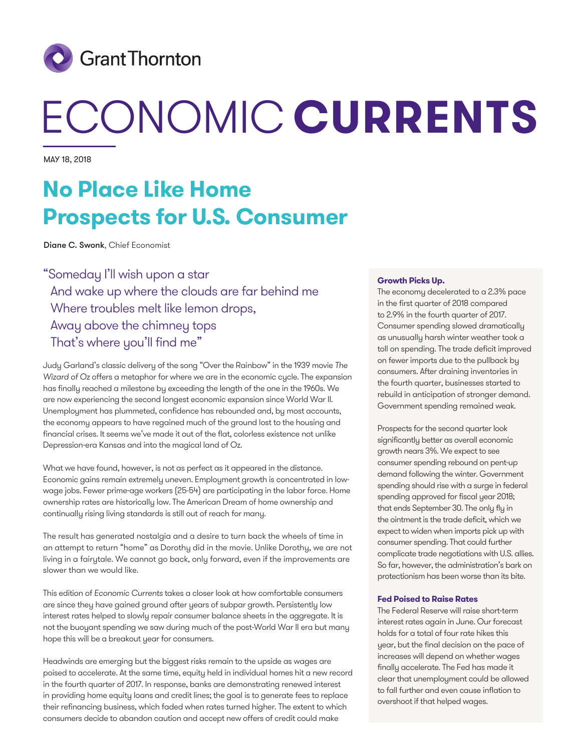

# ECONOMIC **CURRENTS**

MAY 18, 2018

## **No Place Like Home Prospects for U.S. Consumer**

Diane C. Swonk, Chief Economist

"Someday I'll wish upon a star And wake up where the clouds are far behind me Where troubles melt like lemon drops, Away above the chimney tops That's where you'll find me"

Judy Garland's classic delivery of the song "Over the Rainbow" in the 1939 movie *The Wizard of Oz* offers a metaphor for where we are in the economic cycle. The expansion has finally reached a milestone by exceeding the length of the one in the 1960s. We are now experiencing the second longest economic expansion since World War II. Unemployment has plummeted, confidence has rebounded and, by most accounts, the economy appears to have regained much of the ground lost to the housing and financial crises. It seems we've made it out of the flat, colorless existence not unlike Depression-era Kansas and into the magical land of Oz.

What we have found, however, is not as perfect as it appeared in the distance. Economic gains remain extremely uneven. Employment growth is concentrated in lowwage jobs. Fewer prime-age workers (25-54) are participating in the labor force. Home ownership rates are historically low. The American Dream of home ownership and continually rising living standards is still out of reach for many.

The result has generated nostalgia and a desire to turn back the wheels of time in an attempt to return "home" as Dorothy did in the movie. Unlike Dorothy, we are not living in a fairytale. We cannot go back, only forward, even if the improvements are slower than we would like.

This edition of *Economic Currents* takes a closer look at how comfortable consumers are since they have gained ground after years of subpar growth. Persistently low interest rates helped to slowly repair consumer balance sheets in the aggregate. It is not the buoyant spending we saw during much of the post-World War II era but many hope this will be a breakout year for consumers.

Headwinds are emerging but the biggest risks remain to the upside as wages are poised to accelerate. At the same time, equity held in individual homes hit a new record in the fourth quarter of 2017. In response, banks are demonstrating renewed interest in providing home equity loans and credit lines; the goal is to generate fees to replace their refinancing business, which faded when rates turned higher. The extent to which consumers decide to abandon caution and accept new offers of credit could make

## **Growth Picks Up.**

The economy decelerated to a 2.3% pace in the first quarter of 2018 compared to 2.9% in the fourth quarter of 2017. Consumer spending slowed dramatically as unusually harsh winter weather took a toll on spending. The trade deficit improved on fewer imports due to the pullback by consumers. After draining inventories in the fourth quarter, businesses started to rebuild in anticipation of stronger demand. Government spending remained weak.

Prospects for the second quarter look significantly better as overall economic growth nears 3%. We expect to see consumer spending rebound on pent-up demand following the winter. Government spending should rise with a surge in federal spending approved for fiscal year 2018; that ends September 30. The only fly in the ointment is the trade deficit, which we expect to widen when imports pick up with consumer spending. That could further complicate trade negotiations with U.S. allies. So far, however, the administration's bark on protectionism has been worse than its bite.

## **Fed Poised to Raise Rates**

The Federal Reserve will raise short-term interest rates again in June. Our forecast holds for a total of four rate hikes this year, but the final decision on the pace of increases will depend on whether wages finally accelerate. The Fed has made it clear that unemployment could be allowed to fall further and even cause inflation to overshoot if that helped wages.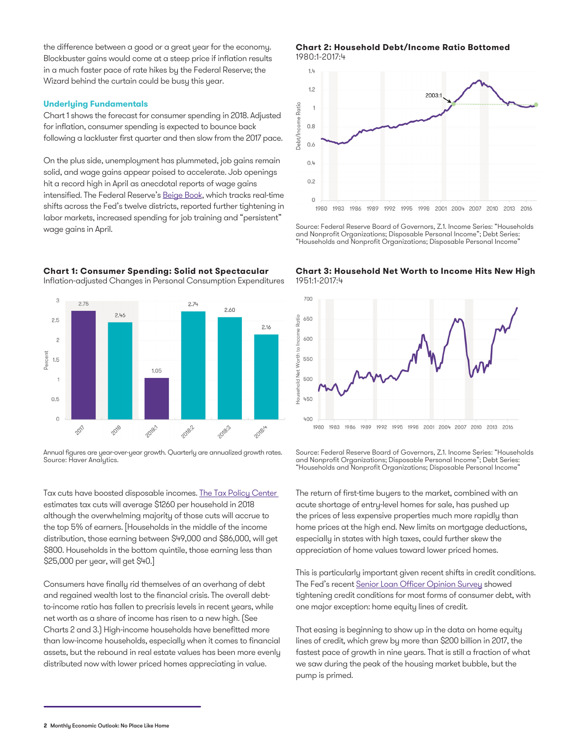the difference between a good or a great year for the economy. Blockbuster gains would come at a steep price if inflation results in a much faster pace of rate hikes by the Federal Reserve; the Wizard behind the curtain could be busy this year.

#### **Underlying Fundamentals**

Chart 1 shows the forecast for consumer spending in 2018. Adjusted for inflation, consumer spending is expected to bounce back following a lackluster first quarter and then slow from the 2017 pace.

On the plus side, unemployment has plummeted, job gains remain solid, and wage gains appear poised to accelerate. Job openings hit a record high in April as anecdotal reports of wage gains intensified. The Federal Reserve's [Beige Book,](https://www.federalreserve.gov/monetarypolicy/files/BeigeBook_20180418.pdf) which tracks real-time shifts across the Fed's twelve districts, reported further tightening in labor markets, increased spending for job training and "persistent" wage gains in April.

**Chart 1: Consumer Spending: Solid not Spectacular** Inflation-adjusted Changes in Personal Consumption Expenditures



Annual figures are year-over-year growth. Quarterly are annualized growth rates. Source: Haver Analytics.

Tax cuts have boosted disposable incomes. The [Tax Policy Center](http://www.taxpolicycenter.org/sites/default/files/publication/154006/the_effect_of_the_tcja_individual_income_tax_provisions_across_income_groups_and_across_the_states.pdf)  estimates tax cuts will average \$1260 per household in 2018 although the overwhelming majority of those cuts will accrue to the top 5% of earners. [Households in the middle of the income distribution, those earning between \$49,000 and \$86,000, will get \$800. Households in the bottom quintile, those earning less than \$25,000 per year, will get \$40.]

Consumers have finally rid themselves of an overhang of debt and regained wealth lost to the financial crisis. The overall debtto-income ratio has fallen to precrisis levels in recent years, while net worth as a share of income has risen to a new high. (See Charts 2 and 3.) High-income households have benefitted more than low-income households, especially when it comes to financial assets, but the rebound in real estate values has been more evenly distributed now with lower priced homes appreciating in value.

**Chart 2: Household Debt/Income Ratio Bottomed**  1980:1-2017:4



Source: Federal Reserve Board of Governors, Z.1. Income Series: "Households and Nonprofit Organizations; Disposable Personal Income"; Debt Series: "Households and Nonprofit Organizations; Disposable Personal Income"

**Chart 3: Household Net Worth to Income Hits New High** 1951:1-2017:4



Source: Federal Reserve Board of Governors, Z.1. Income Series: "Households and Nonprofit Organizations; Disposable Personal Income"; Debt Series: "Households and Nonprofit Organizations; Disposable Personal Income"

The return of first-time buyers to the market, combined with an acute shortage of entry-level homes for sale, has pushed up the prices of less expensive properties much more rapidly than home prices at the high end. New limits on mortgage deductions, especially in states with high taxes, could further skew the appreciation of home values toward lower priced homes.

This is particularly important given recent shifts in credit conditions. The Fed's recent [Senior Loan Officer Opinion Survey](https://www.federalreserve.gov/data/sloos.htm) showed tightening credit conditions for most forms of consumer debt, with one major exception: home equity lines of credit.

That easing is beginning to show up in the data on home equity lines of credit, which grew by more than \$200 billion in 2017, the fastest pace of growth in nine years. That is still a fraction of what we saw during the peak of the housing market bubble, but the pump is primed.

**<sup>2</sup>** Monthly Economic Outlook: No Place Like Home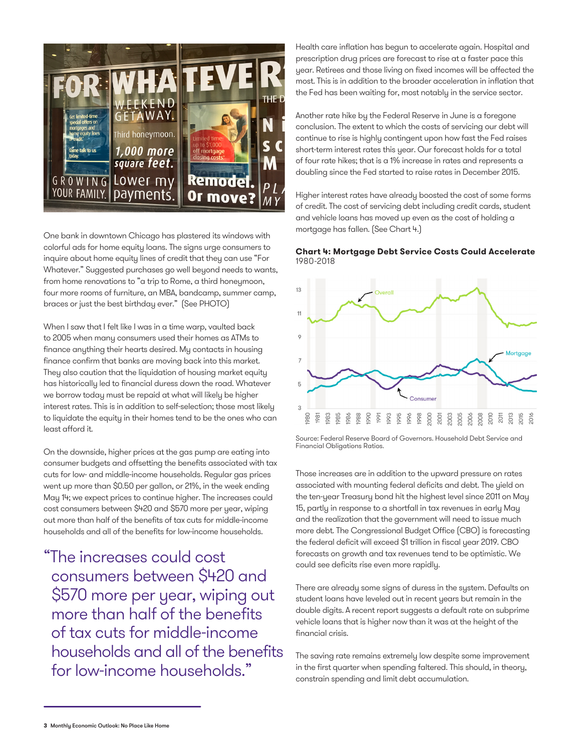

One bank in downtown Chicago has plastered its windows with colorful ads for home equity loans. The signs urge consumers to inquire about home equity lines of credit that they can use "For Whatever." Suggested purchases go well beyond needs to wants, from home renovations to "a trip to Rome, a third honeymoon, four more rooms of furniture, an MBA, bandcamp, summer camp, braces or just the best birthday ever." (See PHOTO)

When I saw that I felt like I was in a time warp, vaulted back to 2005 when many consumers used their homes as ATMs to finance anything their hearts desired. My contacts in housing finance confirm that banks are moving back into this market. They also caution that the liquidation of housing market equity has historically led to financial duress down the road. Whatever we borrow today must be repaid at what will likely be higher interest rates. This is in addition to self-selection; those most likely to liquidate the equity in their homes tend to be the ones who can least afford it.

On the downside, higher prices at the gas pump are eating into consumer budgets and offsetting the benefits associated with tax cuts for low- and middle-income households. Regular gas prices went up more than \$0.50 per gallon, or 21%, in the week ending May 14; we expect prices to continue higher. The increases could cost consumers between \$420 and \$570 more per year, wiping out more than half of the benefits of tax cuts for middle-income households and all of the benefits for low-income households.

"The increases could cost consumers between \$420 and \$570 more per year, wiping out more than half of the benefits of tax cuts for middle-income households and all of the benefits for low-income households."

Health care inflation has begun to accelerate again. Hospital and prescription drug prices are forecast to rise at a faster pace this year. Retirees and those living on fixed incomes will be affected the most. This is in addition to the broader acceleration in inflation that the Fed has been waiting for, most notably in the service sector.

Another rate hike by the Federal Reserve in June is a foregone conclusion. The extent to which the costs of servicing our debt will continue to rise is highly contingent upon how fast the Fed raises short-term interest rates this year. Our forecast holds for a total of four rate hikes; that is a 1% increase in rates and represents a doubling since the Fed started to raise rates in December 2015.

Higher interest rates have already boosted the cost of some forms of credit. The cost of servicing debt including credit cards, student and vehicle loans has moved up even as the cost of holding a mortgage has fallen. (See Chart 4.)





Source: Federal Reserve Board of Governors. Household Debt Service and Financial Obligations Ratios.

Those increases are in addition to the upward pressure on rates associated with mounting federal deficits and debt. The yield on the ten-year Treasury bond hit the highest level since 2011 on May 15, partly in response to a shortfall in tax revenues in early May and the realization that the government will need to issue much more debt. The Congressional Budget Office (CBO) is forecasting the federal deficit will exceed \$1 trillion in fiscal year 2019. CBO forecasts on growth and tax revenues tend to be optimistic. We could see deficits rise even more rapidly.

There are already some signs of duress in the system. Defaults on student loans have leveled out in recent years but remain in the double digits. A recent report suggests a default rate on subprime vehicle loans that is higher now than it was at the height of the financial crisis.

The saving rate remains extremely low despite some improvement in the first quarter when spending faltered. This should, in theory, constrain spending and limit debt accumulation.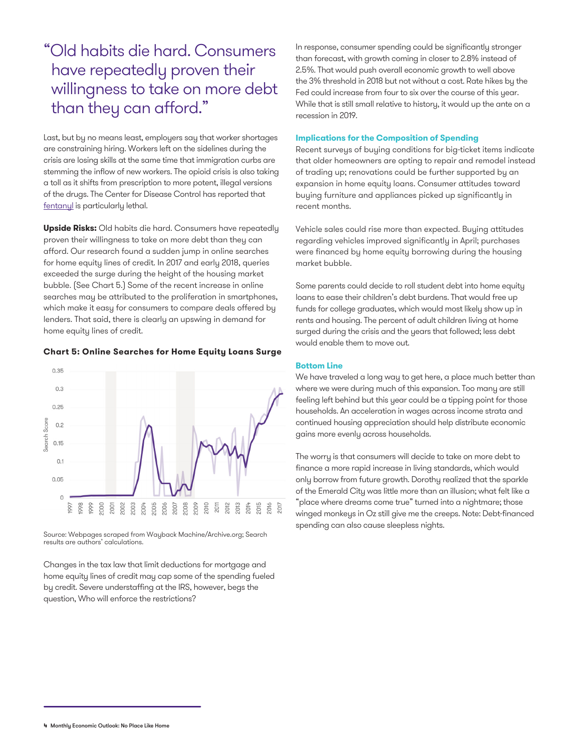## "Old habits die hard. Consumers have repeatedly proven their willingness to take on more debt than they can afford."

Last, but by no means least, employers say that worker shortages are constraining hiring. Workers left on the sidelines during the crisis are losing skills at the same time that immigration curbs are stemming the inflow of new workers. The opioid crisis is also taking a toll as it shifts from prescription to more potent, illegal versions of the drugs. The Center for Disease Control has reported that [fentanyl](https://emergency.cdc.gov/han/han00395.asp) is particularly lethal.

**Upside Risks:** Old habits die hard. Consumers have repeatedly proven their willingness to take on more debt than they can afford. Our research found a sudden jump in online searches for home equity lines of credit. In 2017 and early 2018, queries exceeded the surge during the height of the housing market bubble. (See Chart 5.) Some of the recent increase in online searches may be attributed to the proliferation in smartphones, which make it easy for consumers to compare deals offered by lenders. That said, there is clearly an upswing in demand for home equity lines of credit.

## **Chart 5: Online Searches for Home Equity Loans Surge**



Source: Webpages scraped from Wayback Machine/Archive.org; Search results are authors' calculations.

Changes in the tax law that limit deductions for mortgage and home equity lines of credit may cap some of the spending fueled by credit. Severe understaffing at the IRS, however, begs the question, Who will enforce the restrictions?

In response, consumer spending could be significantly stronger than forecast, with growth coming in closer to 2.8% instead of 2.5%. That would push overall economic growth to well above the 3% threshold in 2018 but not without a cost. Rate hikes by the Fed could increase from four to six over the course of this year. While that is still small relative to history, it would up the ante on a recession in 2019.

## **Implications for the Composition of Spending**

Recent surveys of buying conditions for big-ticket items indicate that older homeowners are opting to repair and remodel instead of trading up; renovations could be further supported by an expansion in home equity loans. Consumer attitudes toward buying furniture and appliances picked up significantly in recent months.

Vehicle sales could rise more than expected. Buying attitudes regarding vehicles improved significantly in April; purchases were financed by home equity borrowing during the housing market bubble.

Some parents could decide to roll student debt into home equity loans to ease their children's debt burdens. That would free up funds for college graduates, which would most likely show up in rents and housing. The percent of adult children living at home surged during the crisis and the years that followed; less debt would enable them to move out.

## **Bottom Line**

We have traveled a long way to get here, a place much better than where we were during much of this expansion. Too many are still feeling left behind but this year could be a tipping point for those households. An acceleration in wages across income strata and continued housing appreciation should help distribute economic gains more evenly across households.

The worry is that consumers will decide to take on more debt to finance a more rapid increase in living standards, which would only borrow from future growth. Dorothy realized that the sparkle of the Emerald City was little more than an illusion; what felt like a "place where dreams come true" turned into a nightmare; those winged monkeys in Oz still give me the creeps. Note: Debt-financed spending can also cause sleepless nights.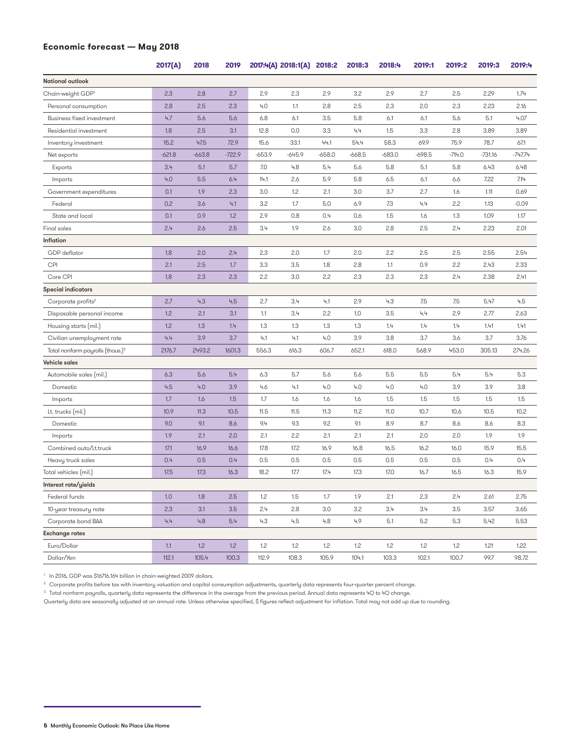## **Economic forecast — May 2018**

|                                              | 2017(A)  | 2018     | 2019     | 2017:4(A) 2018:1(A) 2018:2 |        |          | 2018:3   | 2018:4 | 2019:1   | 2019:2   | 2019:3  | 2019:4    |
|----------------------------------------------|----------|----------|----------|----------------------------|--------|----------|----------|--------|----------|----------|---------|-----------|
| National outlook                             |          |          |          |                            |        |          |          |        |          |          |         |           |
| Chain-weight GDP <sup>1</sup>                | 2.3      | 2.8      | 2.7      | 2.9                        | 2.3    | 2.9      | 3.2      | 2.9    | 2.7      | 2.5      | 2.29    | 1.74      |
| Personal consumption                         | 2.8      | 2.5      | 2.3      | 4.0                        | 1.1    | 2.8      | 2.5      | 2.3    | 2.0      | 2.3      | 2.23    | 2.16      |
| Business fixed investment                    | 4.7      | 5.6      | 5.6      | 6.8                        | 6.1    | 3.5      | 5.8      | 6.1    | 6.1      | 5.6      | 5.1     | 4.07      |
| Residential investment                       | 1.8      | 2.5      | 3.1      | 12.8                       | 0.0    | 3.3      | 4.4      | 1.5    | 3.3      | 2.8      | 3.89    | 3.89      |
| Inventory investment                         | 15.2     | 47.5     | 72.9     | 15.6                       | 33.1   | 44.1     | 54.4     | 58.3   | 69.9     | 75.9     | 78.7    | 67.1      |
| Net exports                                  | $-621.8$ | $-663.8$ | $-722.9$ | $-653.9$                   | -645.9 | $-658.0$ | $-668.5$ | -683.0 | $-698.5$ | $-714.0$ | -731.16 | $-747.74$ |
| Exports                                      | 3.4      | 5.1      | 5.7      | 7.0                        | 4.8    | 5.4      | 5.6      | 5.8    | 5.1      | 5.8      | 6.43    | 6.48      |
| Imports                                      | 4.0      | 5.5      | 6.4      | 14.1                       | 2.6    | 5.9      | 5.8      | 6.5    | 6.1      | 6.6      | 7.22    | 7.14      |
| Government expenditures                      | 0.1      | 1.9      | 2.3      | 3.0                        | 1.2    | 2.1      | 3.0      | 3.7    | 2.7      | 1.6      | 1.11    | 0.69      |
| Federal                                      | 0.2      | 3.6      | 4.1      | 3.2                        | 1.7    | 5.0      | 6.9      | 7.3    | 4.4      | 2.2      | 1.13    | $-0.09$   |
| State and local                              | 0.1      | 0.9      | 1.2      | 2.9                        | 0.8    | 0.4      | 0.6      | 1.5    | 1.6      | 1.3      | 1.09    | 1.17      |
| Final sales                                  | 2.4      | 2.6      | 2.5      | 3.4                        | 1.9    | 2.6      | 3.0      | 2.8    | 2.5      | 2.4      | 2.23    | 2.01      |
| Inflation                                    |          |          |          |                            |        |          |          |        |          |          |         |           |
| GDP deflator                                 | 1.8      | 2.0      | 2.4      | 2.3                        | 2.0    | 1.7      | 2.0      | 2.2    | 2.5      | 2.5      | 2.55    | 2.54      |
| <b>CPI</b>                                   | 2.1      | 2.5      | 1.7      | 3.3                        | 3.5    | 1.8      | 2.8      | 1.1    | 0.9      | 2.2      | 2.43    | 2.33      |
| Core CPI                                     | 1.8      | 2.3      | 2.3      | 2.2                        | 3.0    | 2.2      | 2.3      | 2.3    | 2.3      | 2.4      | 2.38    | 2.41      |
| Special indicators                           |          |          |          |                            |        |          |          |        |          |          |         |           |
| Corporate profits <sup>2</sup>               | 2.7      | 4.3      | 4.5      | 2.7                        | 3.4    | 4.1      | 2.9      | 4.3    | 7.5      | 7.5      | 5.47    | 4.5       |
| Disposable personal income                   | 1.2      | 2.1      | 3.1      | 1.1                        | 3.4    | 2.2      | 1.0      | 3.5    | 4.4      | 2.9      | 2.77    | 2.63      |
| Housing starts (mil.)                        | 1.2      | 1.3      | 1.4      | 1.3                        | 1.3    | 1.3      | 1.3      | 1.4    | 1.4      | 1.4      | 1.41    | 1.41      |
| Civilian unemployment rate                   | 4.4      | 3.9      | 3.7      | 4.1                        | 4.1    | 4.0      | 3.9      | 3.8    | 3.7      | 3.6      | 3.7     | 3.76      |
| Total nonfarm payrolls (thous.) <sup>3</sup> | 2176.7   | 2493.2   | 1601.3   | 556.3                      | 616.3  | 606.7    | 652.1    | 618.0  | 568.9    | 453.0    | 305.13  | 274.26    |
| Vehicle sales                                |          |          |          |                            |        |          |          |        |          |          |         |           |
| Automobile sales [mil.]                      | 6.3      | 5.6      | 5.4      | 6.3                        | 5.7    | 5.6      | 5.6      | 5.5    | 5.5      | 5.4      | 5.4     | 5.3       |
| Domestic                                     | 4.5      | 4.0      | 3.9      | 4.6                        | 4.1    | 4.0      | 4.0      | 4.0    | 4.0      | 3.9      | 3.9     | 3.8       |
| Imports                                      | 1.7      | 1.6      | 1.5      | 1.7                        | 1.6    | 1.6      | 1.6      | 1.5    | 1.5      | 1.5      | 1.5     | 1.5       |
| Lt. trucks (mil.)                            | 10.9     | 11.3     | 10.5     | 11.5                       | 11.5   | 11.3     | 11.2     | 11.0   | 10.7     | 10.6     | 10.5    | 10.2      |
| Domestic                                     | 9.0      | 9.1      | 8.6      | 9.4                        | 9.3    | 9.2      | 9.1      | 8.9    | 8.7      | 8.6      | 8.6     | 8.3       |
| Imports                                      | 1.9      | 2.1      | 2.0      | 2.1                        | 2.2    | 2.1      | 2.1      | 2.1    | 2.0      | 2.0      | 1.9     | 1.9       |
| Combined auto/Lt.truck                       | 17.1     | 16.9     | 16.6     | 17.8                       | 17.2   | 16.9     | 16.8     | 16.5   | 16.2     | 16.0     | 15.9    | 15.5      |
| Heavy truck sales                            | 0.4      | 0.5      | 0.4      | 0.5                        | 0.5    | 0.5      | 0.5      | 0.5    | 0.5      | 0.5      | 0.4     | 0.4       |
| Total vehicles (mil.)                        | 17.5     | 17.3     | 16.3     | 18.2                       | 17.7   | 17.4     | 17.3     | 17.0   | 16.7     | 16.5     | 16.3    | 15.9      |
| Interest rate/yields                         |          |          |          |                            |        |          |          |        |          |          |         |           |
| Federal funds                                | 1.0      | 1.8      | 2.5      | 1.2                        | 1.5    | 1.7      | 1.9      | 2.1    | 2.3      | 2.4      | 2.61    | 2.75      |
| 10-year treasury note                        | 2.3      | 3.1      | 3.5      | 2.4                        | 2.8    | 3.0      | 3.2      | 3.4    | 3.4      | 3.5      | 3.57    | 3.65      |
| Corporate bond BAA                           | 4.4      | 4.8      | 5.4      | 4.3                        | 4.5    | 4.8      | 4.9      | 5.1    | 5.2      | 5.3      | 5.42    | 5.53      |
| <b>Exchange rates</b>                        |          |          |          |                            |        |          |          |        |          |          |         |           |
| Euro/Dollar                                  | 1.1      | 1.2      | 1.2      | 1.2                        | 1.2    | 1.2      | 1.2      | 1.2    | 1.2      | 1.2      | 1.21    | 1.22      |
| Dollar/Yen                                   | 112.1    | 105.4    | 100.3    | 112.9                      | 108.3  | 105.9    | 104.1    | 103.3  | 102.1    | 100.7    | 99.7    | 98.72     |

1. In 2016, GDP was \$16716.164 billion in chain-weighted 2009 dollars.

<sup>2</sup> Corporate profits before tax with inventory valuation and capital consumption adjustments, quarterly data represents four-quarter percent change.

3. Total nonfarm payrolls, quarterly data represents the difference in the average from the previous period. Annual data represents 4Q to 4Q change.

Quarterly data are seasonally adjusted at an annual rate. Unless otherwise specified, \$ figures reflect adjustment for inflation. Total may not add up due to rounding.